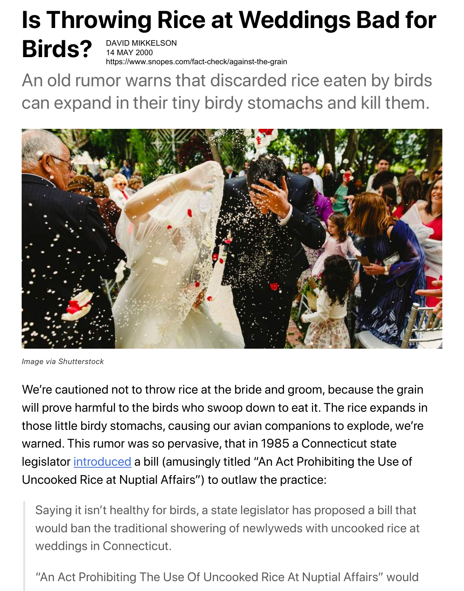## **Is Throwing Rice at Weddings Bad for**

# **Birds?**

DAVID MIKKELSON 14 MAY 2000 https://www.snopes.com/fact-check/against-the-grain

An old rumor warns that discarded rice eaten by birds can expand in their tiny birdy stomachs and kill them.



*Image via Shutterstock*

We're cautioned not to throw rice at the bride and groom, because the grain will prove harmful to the birds who swoop down to eat it. The rice expands in those little birdy stomachs, causing our avian companions to explode, we're warned. This rumor was so pervasive, that in 1985 a Connecticut state legislator [introduced](http://www.apnewsarchive.com/1985/Bill-Would-Ban-Rice-At-Weddings/id-cc18db6b4a708e277bbedc8e75a53c5d) a bill (amusingly titled "An Act Prohibiting the Use of Uncooked Rice at Nuptial Affairs") to outlaw the practice:

Saying it isn't healthy for birds, a state legislator has proposed a bill that would ban the traditional showering of newlyweds with uncooked rice at weddings in Connecticut.

"An Act Prohibiting The Use Of Uncooked Rice At Nuptial Affairs" would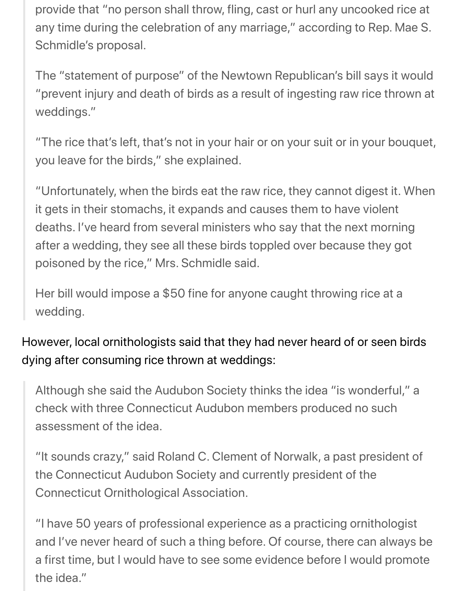provide that "no person shall throw, fling, cast or hurl any uncooked rice at any time during the celebration of any marriage," according to Rep. Mae S. Schmidle's proposal.

The "statement of purpose" of the Newtown Republican's bill says it would "prevent injury and death of birds as a result of ingesting raw rice thrown at weddings."

"The rice that's left, that's not in your hair or on your suit or in your bouquet, you leave for the birds," she explained.

"Unfortunately, when the birds eat the raw rice, they cannot digest it. When it gets in their stomachs, it expands and causes them to have violent deaths. I've heard from several ministers who say that the next morning after a wedding, they see all these birds toppled over because they got poisoned by the rice," Mrs. Schmidle said.

Her bill would impose a \$50 fine for anyone caught throwing rice at a wedding.

### However, local ornithologists said that they had never heard of or seen birds dying after consuming rice thrown at weddings:

Although she said the Audubon Society thinks the idea "is wonderful," a check with three Connecticut Audubon members produced no such assessment of the idea.

"It sounds crazy," said Roland C. Clement of Norwalk, a past president of the Connecticut Audubon Society and currently president of the Connecticut Ornithological Association.

"I have 50 years of professional experience as a practicing ornithologist and I've never heard of such a thing before. Of course, there can always be a first time, but I would have to see some evidence before I would promote the idea."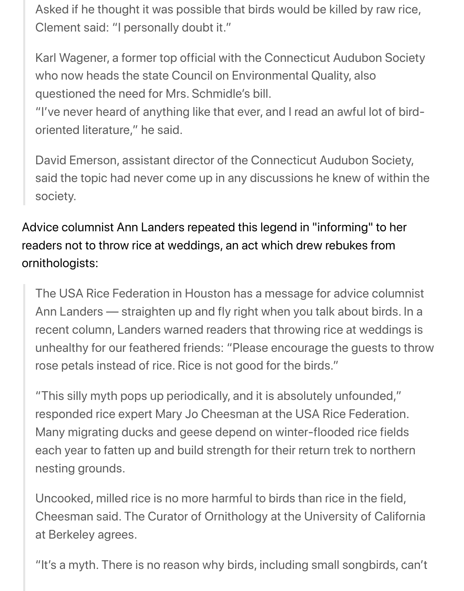Asked if he thought it was possible that birds would be killed by raw rice, Clement said: "I personally doubt it."

Karl Wagener, a former top official with the Connecticut Audubon Society who now heads the state Council on Environmental Quality, also questioned the need for Mrs. Schmidle's bill.

"I've never heard of anything like that ever, and I read an awful lot of birdoriented literature," he said.

David Emerson, assistant director of the Connecticut Audubon Society, said the topic had never come up in any discussions he knew of within the society.

Advice columnist Ann Landers repeated this legend in "informing" to her readers not to throw rice at weddings, an act which drew rebukes from ornithologists:

The USA Rice Federation in Houston has a message for advice columnist Ann Landers — straighten up and fly right when you talk about birds. In a recent column, Landers warned readers that throwing rice at weddings is unhealthy for our feathered friends: "Please encourage the guests to throw rose petals instead of rice. Rice is not good for the birds."

"This silly myth pops up periodically, and it is absolutely unfounded," responded rice expert Mary Jo Cheesman at the USA Rice Federation. Many migrating ducks and geese depend on winter-flooded rice fields each year to fatten up and build strength for their return trek to northern nesting grounds.

Uncooked, milled rice is no more harmful to birds than rice in the field, Cheesman said. The Curator of Ornithology at the University of California at Berkeley agrees.

"It's a myth. There is no reason why birds, including small songbirds, can't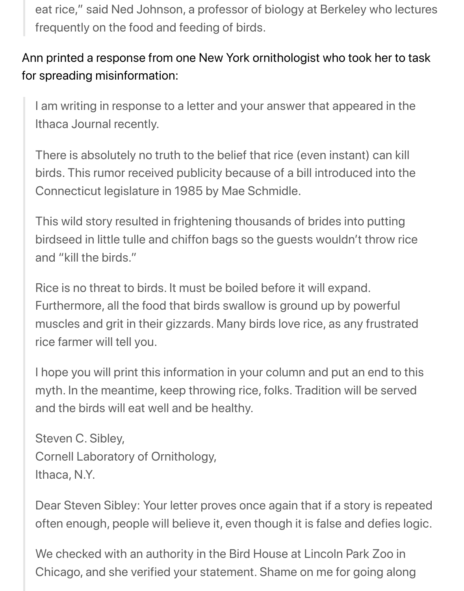eat rice," said Ned Johnson, a professor of biology at Berkeley who lectures frequently on the food and feeding of birds.

#### Ann printed a response from one New York ornithologist who took her to task for spreading misinformation:

I am writing in response to a letter and your answer that appeared in the Ithaca Journal recently.

There is absolutely no truth to the belief that rice (even instant) can kill birds. This rumor received publicity because of a bill introduced into the Connecticut legislature in 1985 by Mae Schmidle.

This wild story resulted in frightening thousands of brides into putting birdseed in little tulle and chiffon bags so the guests wouldn't throw rice and "kill the birds."

Rice is no threat to birds. It must be boiled before it will expand. Furthermore, all the food that birds swallow is ground up by powerful muscles and grit in their gizzards. Many birds love rice, as any frustrated rice farmer will tell you.

I hope you will print this information in your column and put an end to this myth. In the meantime, keep throwing rice, folks. Tradition will be served and the birds will eat well and be healthy.

Steven C. Sibley, Cornell Laboratory of Ornithology, Ithaca, N.Y.

Dear Steven Sibley: Your letter proves once again that if a story is repeated often enough, people will believe it, even though it is false and defies logic.

We checked with an authority in the Bird House at Lincoln Park Zoo in Chicago, and she verified your statement. Shame on me for going along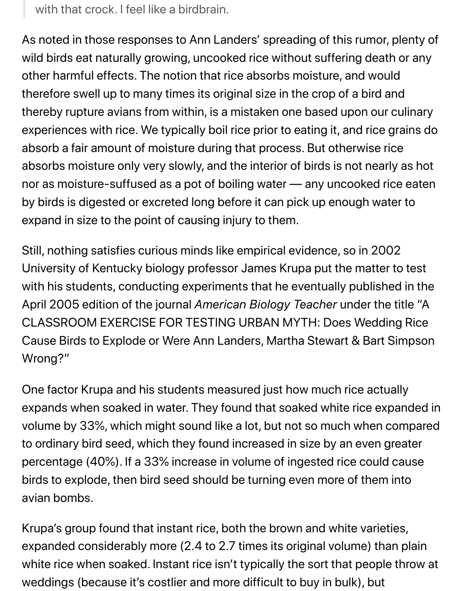with that crock. I feel like a birdbrain.

As noted in those responses to Ann Landers' spreading of this rumor, plenty of wild birds eat naturally growing, uncooked rice without suffering death or any other harmful effects. The notion that rice absorbs moisture, and would therefore swell up to many times its original size in the crop of a bird and thereby rupture avians from within, is a mistaken one based upon our culinary experiences with rice. We typically boil rice prior to eating it, and rice grains do absorb a fair amount of moisture during that process. But otherwise rice absorbs moisture only very slowly, and the interior of birds is not nearly as hot nor as moisture-suffused as a pot of boiling water — any uncooked rice eaten by birds is digested or excreted long before it can pick up enough water to expand in size to the point of causing injury to them.

Still, nothing satisfies curious minds like empirical evidence, so in 2002 University of Kentucky biology professor James Krupa put the matter to test with his students, conducting experiments that he eventually published in the April 2005 edition of the journal *American Biology Teacher* under the title "A CLASSROOM EXERCISE FOR TESTING URBAN MYTH: Does Wedding Rice Cause Birds to Explode or Were Ann Landers, Martha Stewart & Bart Simpson Wrong?"

One factor Krupa and his students measured just how much rice actually expands when soaked in water. They found that soaked white rice expanded in volume by 33%, which might sound like a lot, but not so much when compared to ordinary bird seed, which they found increased in size by an even greater percentage (40%). If a 33% increase in volume of ingested rice could cause birds to explode, then bird seed should be turning even more of them into avian bombs.

Krupa's group found that instant rice, both the brown and white varieties, expanded considerably more (2.4 to 2.7 times its original volume) than plain white rice when soaked. Instant rice isn't typically the sort that people throw at weddings (because it's costlier and more difficult to buy in bulk), but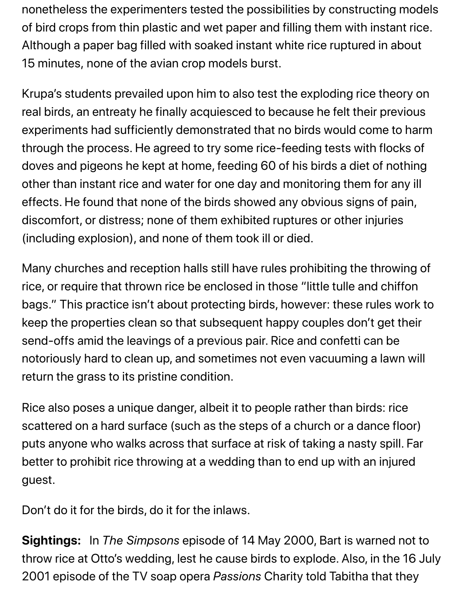nonetheless the experimenters tested the possibilities by constructing models of bird crops from thin plastic and wet paper and filling them with instant rice. Although a paper bag filled with soaked instant white rice ruptured in about 15 minutes, none of the avian crop models burst.

Krupa's students prevailed upon him to also test the exploding rice theory on real birds, an entreaty he finally acquiesced to because he felt their previous experiments had sufficiently demonstrated that no birds would come to harm through the process. He agreed to try some rice-feeding tests with flocks of doves and pigeons he kept at home, feeding 60 of his birds a diet of nothing other than instant rice and water for one day and monitoring them for any ill effects. He found that none of the birds showed any obvious signs of pain, discomfort, or distress; none of them exhibited ruptures or other injuries (including explosion), and none of them took ill or died.

Many churches and reception halls still have rules prohibiting the throwing of rice, or require that thrown rice be enclosed in those "little tulle and chiffon bags." This practice isn't about protecting birds, however: these rules work to keep the properties clean so that subsequent happy couples don't get their send-offs amid the leavings of a previous pair. Rice and confetti can be notoriously hard to clean up, and sometimes not even vacuuming a lawn will return the grass to its pristine condition.

Rice also poses a unique danger, albeit it to people rather than birds: rice scattered on a hard surface (such as the steps of a church or a dance floor) puts anyone who walks across that surface at risk of taking a nasty spill. Far better to prohibit rice throwing at a wedding than to end up with an injured guest.

Don't do it for the birds, do it for the inlaws.

**Sightings:** In *The Simpsons* episode of 14 May 2000, Bart is warned not to throw rice at Otto's wedding, lest he cause birds to explode. Also, in the 16 July 2001 episode of the TV soap opera *Passions* Charity told Tabitha that they